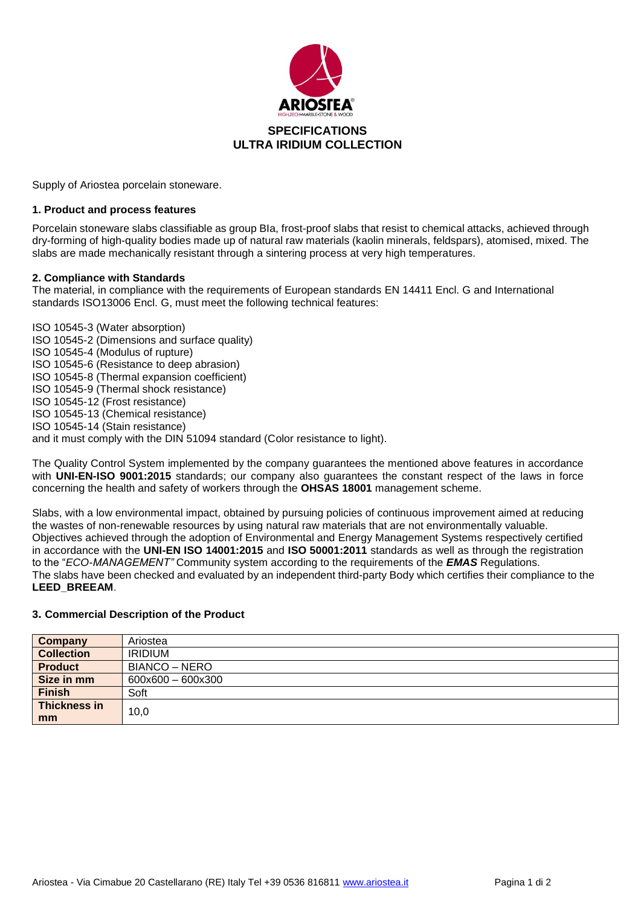

Supply of Ariostea porcelain stoneware.

## **1. Product and process features**

Porcelain stoneware slabs classifiable as group BIa, frost-proof slabs that resist to chemical attacks, achieved through dry-forming of high-quality bodies made up of natural raw materials (kaolin minerals, feldspars), atomised, mixed. The slabs are made mechanically resistant through a sintering process at very high temperatures.

## **2. Compliance with Standards**

The material, in compliance with the requirements of European standards EN 14411 Encl. G and International standards ISO13006 Encl. G, must meet the following technical features:

ISO 10545-3 (Water absorption) ISO 10545-2 (Dimensions and surface quality) ISO 10545-4 (Modulus of rupture) ISO 10545-6 (Resistance to deep abrasion) ISO 10545-8 (Thermal expansion coefficient) ISO 10545-9 (Thermal shock resistance) ISO 10545-12 (Frost resistance) ISO 10545-13 (Chemical resistance) ISO 10545-14 (Stain resistance) and it must comply with the DIN 51094 standard (Color resistance to light).

The Quality Control System implemented by the company guarantees the mentioned above features in accordance with **UNI-EN-ISO 9001:2015** standards; our company also guarantees the constant respect of the laws in force concerning the health and safety of workers through the **OHSAS 18001** management scheme.

Slabs, with a low environmental impact, obtained by pursuing policies of continuous improvement aimed at reducing the wastes of non-renewable resources by using natural raw materials that are not environmentally valuable. Objectives achieved through the adoption of Environmental and Energy Management Systems respectively certified in accordance with the **UNI-EN ISO 14001:2015** and **ISO 50001:2011** standards as well as through the registration to the "*ECO-MANAGEMENT"* Community system according to the requirements of the *EMAS* Regulations. The slabs have been checked and evaluated by an independent third-party Body which certifies their compliance to the **LEED\_BREEAM**.

#### **3. Commercial Description of the Product**

| Company           | Ariostea                      |
|-------------------|-------------------------------|
| <b>Collection</b> | <b>IRIDIUM</b>                |
| <b>Product</b>    | BIANCO – NERO                 |
| Size in mm        | $600\times600 - 600\times300$ |
| <b>Finish</b>     | Soft                          |
| Thickness in      | 10,0                          |
| mm                |                               |